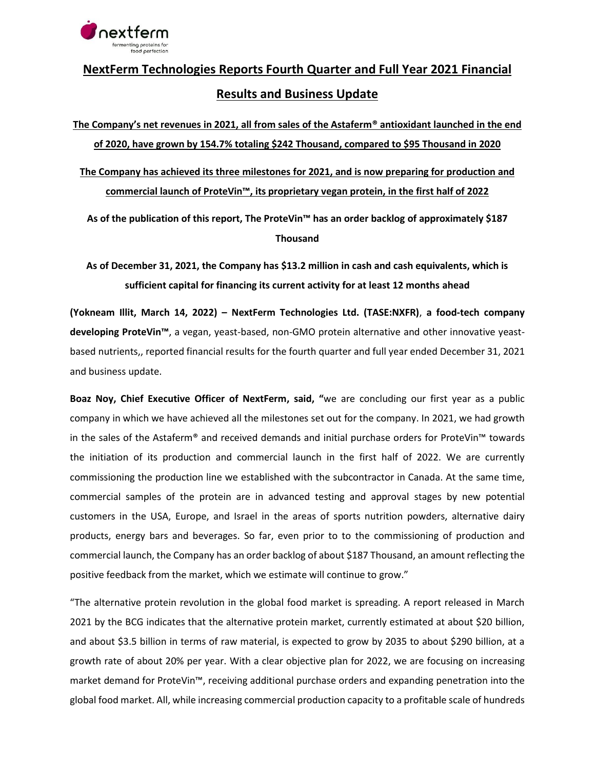

# **NextFerm Technologies Reports Fourth Quarter and Full Year 2021 Financial Results and Business Update**

**The Company's net revenues in 2021, all from sales of the Astaferm® antioxidant launched in the end of 2020, have grown by 154.7% totaling \$242 Thousand, compared to \$95 Thousand in 2020 The Company has achieved its three milestones for 2021, and is now preparing for production and commercial launch of ProteVin™, its proprietary vegan protein, in the first half of 2022**

**As of the publication of this report, The ProteVin™ has an order backlog of approximately \$187 Thousand**

**As of December 31, 2021, the Company has \$13.2 million in cash and cash equivalents, which is sufficient capital for financing its current activity for at least 12 months ahead**

**(Yokneam Illit, March 14, 2022) – NextFerm Technologies Ltd. (TASE:NXFR)**, **a food-tech company developing ProteVin™**, a vegan, yeast-based, non-GMO protein alternative and other innovative yeastbased nutrients,, reported financial results for the fourth quarter and full year ended December 31, 2021 and business update.

**Boaz Noy, Chief Executive Officer of NextFerm, said, "**we are concluding our first year as a public company in which we have achieved all the milestones set out for the company. In 2021, we had growth in the sales of the Astaferm® and received demands and initial purchase orders for ProteVin™ towards the initiation of its production and commercial launch in the first half of 2022. We are currently commissioning the production line we established with the subcontractor in Canada. At the same time, commercial samples of the protein are in advanced testing and approval stages by new potential customers in the USA, Europe, and Israel in the areas of sports nutrition powders, alternative dairy products, energy bars and beverages. So far, even prior to to the commissioning of production and commercial launch, the Company has an order backlog of about \$187 Thousand, an amount reflecting the positive feedback from the market, which we estimate will continue to grow."

"The alternative protein revolution in the global food market is spreading. A report released in March 2021 by the BCG indicates that the alternative protein market, currently estimated at about \$20 billion, and about \$3.5 billion in terms of raw material, is expected to grow by 2035 to about \$290 billion, at a growth rate of about 20% per year. With a clear objective plan for 2022, we are focusing on increasing market demand for ProteVin™, receiving additional purchase orders and expanding penetration into the global food market. All, while increasing commercial production capacity to a profitable scale of hundreds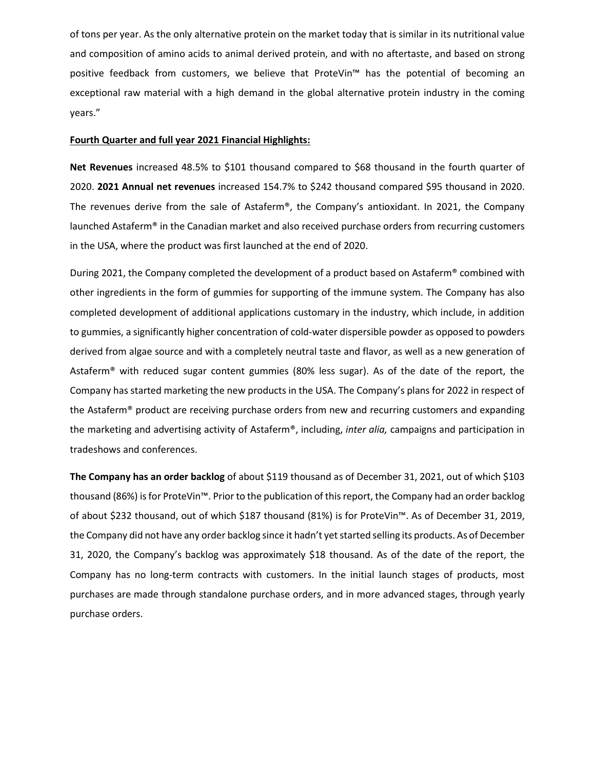of tons per year. As the only alternative protein on the market today that is similar in its nutritional value and composition of amino acids to animal derived protein, and with no aftertaste, and based on strong positive feedback from customers, we believe that ProteVin™ has the potential of becoming an exceptional raw material with a high demand in the global alternative protein industry in the coming years."

#### **Fourth Quarter and full year 2021 Financial Highlights:**

**Net Revenues** increased 48.5% to \$101 thousand compared to \$68 thousand in the fourth quarter of 2020. **2021 Annual net revenues** increased 154.7% to \$242 thousand compared \$95 thousand in 2020. The revenues derive from the sale of Astaferm®, the Company's antioxidant. In 2021, the Company launched Astaferm® in the Canadian market and also received purchase orders from recurring customers in the USA, where the product was first launched at the end of 2020.

During 2021, the Company completed the development of a product based on Astaferm® combined with other ingredients in the form of gummies for supporting of the immune system. The Company has also completed development of additional applications customary in the industry, which include, in addition to gummies, a significantly higher concentration of cold-water dispersible powder as opposed to powders derived from algae source and with a completely neutral taste and flavor, as well as a new generation of Astaferm® with reduced sugar content gummies (80% less sugar). As of the date of the report, the Company has started marketing the new products in the USA. The Company's plans for 2022 in respect of the Astaferm® product are receiving purchase orders from new and recurring customers and expanding the marketing and advertising activity of Astaferm®, including, *inter alia,* campaigns and participation in tradeshows and conferences.

**The Company has an order backlog** of about \$119 thousand as of December 31, 2021, out of which \$103 thousand (86%) is for ProteVin™. Prior to the publication of this report, the Company had an order backlog of about \$232 thousand, out of which \$187 thousand (81%) is for ProteVin™. As of December 31, 2019, the Company did not have any order backlog since it hadn't yet started selling its products. As of December 31, 2020, the Company's backlog was approximately \$18 thousand. As of the date of the report, the Company has no long-term contracts with customers. In the initial launch stages of products, most purchases are made through standalone purchase orders, and in more advanced stages, through yearly purchase orders.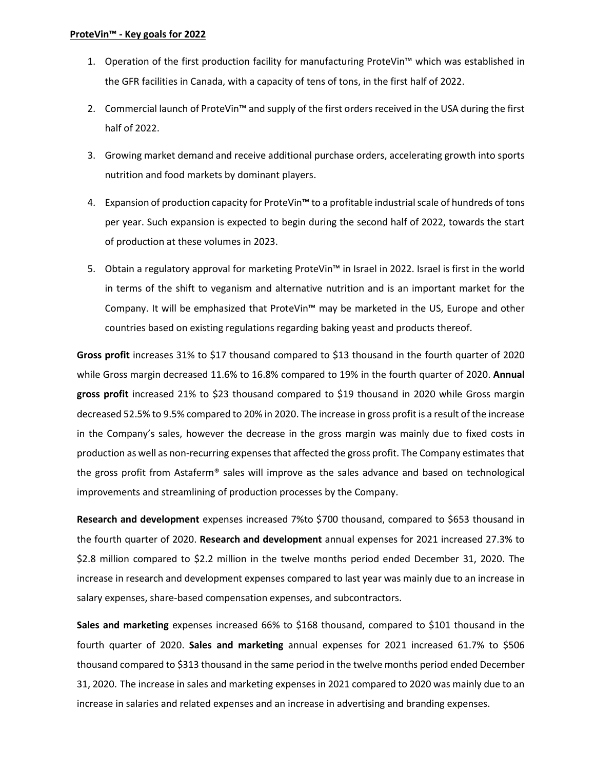- 1. Operation of the first production facility for manufacturing ProteVin™ which was established in the GFR facilities in Canada, with a capacity of tens of tons, in the first half of 2022.
- 2. Commercial launch of ProteVin™ and supply of the first orders received in the USA during the first half of 2022.
- 3. Growing market demand and receive additional purchase orders, accelerating growth into sports nutrition and food markets by dominant players.
- 4. Expansion of production capacity for ProteVin™ to a profitable industrial scale of hundreds of tons per year. Such expansion is expected to begin during the second half of 2022, towards the start of production at these volumes in 2023.
- 5. Obtain a regulatory approval for marketing ProteVin™ in Israel in 2022. Israel is first in the world in terms of the shift to veganism and alternative nutrition and is an important market for the Company. It will be emphasized that ProteVin™ may be marketed in the US, Europe and other countries based on existing regulations regarding baking yeast and products thereof.

**Gross profit** increases 31% to \$17 thousand compared to \$13 thousand in the fourth quarter of 2020 while Gross margin decreased 11.6% to 16.8% compared to 19% in the fourth quarter of 2020. **Annual gross profit** increased 21% to \$23 thousand compared to \$19 thousand in 2020 while Gross margin decreased 52.5% to 9.5% compared to 20% in 2020. The increase in gross profit is a result of the increase in the Company's sales, however the decrease in the gross margin was mainly due to fixed costs in production as well as non-recurring expenses that affected the gross profit. The Company estimates that the gross profit from Astaferm® sales will improve as the sales advance and based on technological improvements and streamlining of production processes by the Company.

**Research and development** expenses increased 7%to \$700 thousand, compared to \$653 thousand in the fourth quarter of 2020. **Research and development** annual expenses for 2021 increased 27.3% to \$2.8 million compared to \$2.2 million in the twelve months period ended December 31, 2020. The increase in research and development expenses compared to last year was mainly due to an increase in salary expenses, share-based compensation expenses, and subcontractors.

**Sales and marketing** expenses increased 66% to \$168 thousand, compared to \$101 thousand in the fourth quarter of 2020. **Sales and marketing** annual expenses for 2021 increased 61.7% to \$506 thousand compared to \$313 thousand in the same period in the twelve months period ended December 31, 2020. The increase in sales and marketing expenses in 2021 compared to 2020 was mainly due to an increase in salaries and related expenses and an increase in advertising and branding expenses.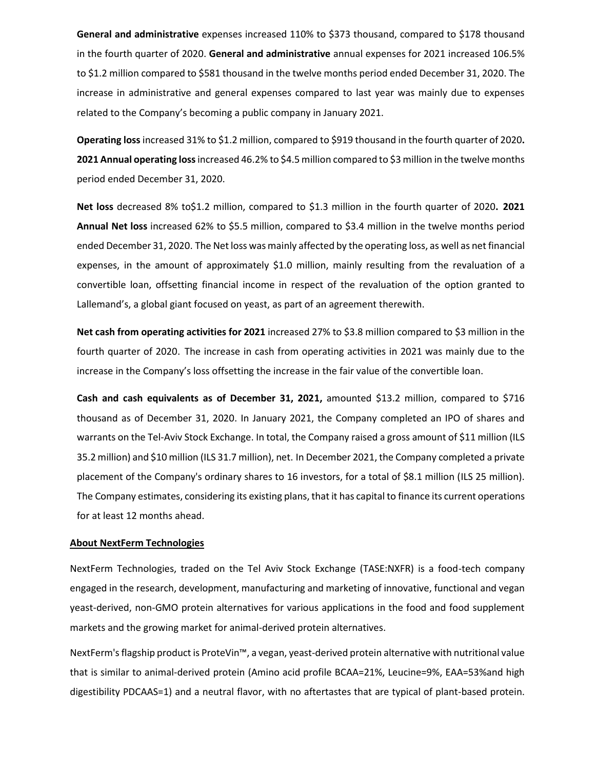**General and administrative** expenses increased 110% to \$373 thousand, compared to \$178 thousand in the fourth quarter of 2020. **General and administrative** annual expenses for 2021 increased 106.5% to \$1.2 million compared to \$581 thousand in the twelve months period ended December 31, 2020. The increase in administrative and general expenses compared to last year was mainly due to expenses related to the Company's becoming a public company in January 2021.

**Operating loss** increased 31% to \$1.2 million, compared to \$919 thousand in the fourth quarter of 2020**. 2021 Annual operating loss**increased 46.2% to \$4.5 million compared to \$3 million in the twelve months period ended December 31, 2020.

**Net loss** decreased 8% to\$1.2 million, compared to \$1.3 million in the fourth quarter of 2020**. 2021 Annual Net loss** increased 62% to \$5.5 million, compared to \$3.4 million in the twelve months period ended December 31, 2020. The Net loss was mainly affected by the operating loss, as well as net financial expenses, in the amount of approximately \$1.0 million, mainly resulting from the revaluation of a convertible loan, offsetting financial income in respect of the revaluation of the option granted to Lallemand's, a global giant focused on yeast, as part of an agreement therewith.

**Net cash from operating activities for 2021** increased 27% to \$3.8 million compared to \$3 million in the fourth quarter of 2020. The increase in cash from operating activities in 2021 was mainly due to the increase in the Company's loss offsetting the increase in the fair value of the convertible loan.

**Cash and cash equivalents as of December 31, 2021,** amounted \$13.2 million, compared to \$716 thousand as of December 31, 2020. In January 2021, the Company completed an IPO of shares and warrants on the Tel-Aviv Stock Exchange. In total, the Company raised a gross amount of \$11 million (ILS 35.2 million) and \$10 million (ILS 31.7 million), net. In December 2021, the Company completed a private placement of the Company's ordinary shares to 16 investors, for a total of \$8.1 million (ILS 25 million). The Company estimates, considering its existing plans, that it has capital to finance its current operations for at least 12 months ahead.

#### **About NextFerm Technologies**

NextFerm Technologies, traded on the Tel Aviv Stock Exchange (TASE:NXFR) is a food-tech company engaged in the research, development, manufacturing and marketing of innovative, functional and vegan yeast-derived, non-GMO protein alternatives for various applications in the food and food supplement markets and the growing market for animal-derived protein alternatives.

NextFerm's flagship product is ProteVin™, a vegan, yeast-derived protein alternative with nutritional value that is similar to animal-derived protein (Amino acid profile BCAA=21%, Leucine=9%, EAA=53%and high digestibility PDCAAS=1) and a neutral flavor, with no aftertastes that are typical of plant-based protein.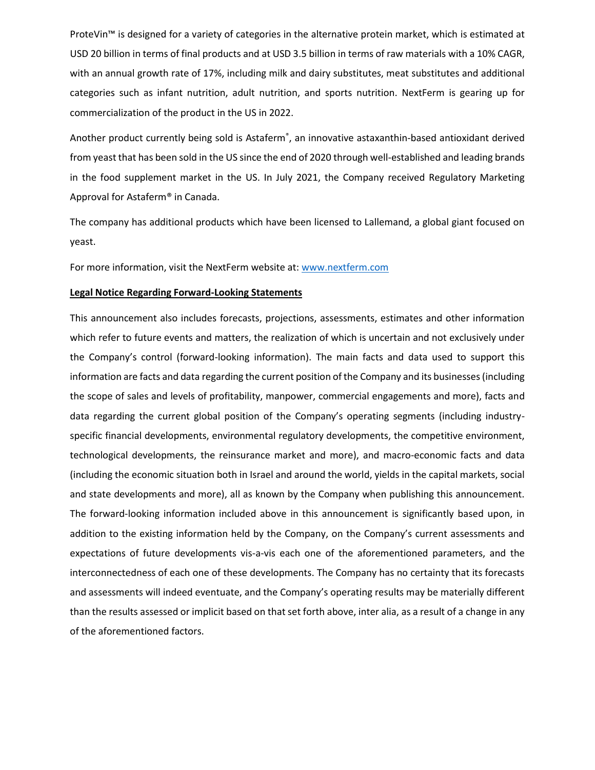ProteVin™ is designed for a variety of categories in the alternative protein market, which is estimated at USD 20 billion in terms of final products and at USD 3.5 billion in terms of raw materials with a 10% CAGR, with an annual growth rate of 17%, including milk and dairy substitutes, meat substitutes and additional categories such as infant nutrition, adult nutrition, and sports nutrition. NextFerm is gearing up for commercialization of the product in the US in 2022.

Another product currently being sold is Astaferm®, an innovative astaxanthin-based antioxidant derived from yeast that has been sold in the US since the end of 2020 through well-established and leading brands in the food supplement market in the US. In July 2021, the Company received Regulatory Marketing Approval for Astaferm® in Canada.

The company has additional products which have been licensed to Lallemand, a global giant focused on yeast.

For more information, visit the NextFerm website at: [www.nextferm.com](http://www.nextferm.com/)

## **Legal Notice Regarding Forward-Looking Statements**

This announcement also includes forecasts, projections, assessments, estimates and other information which refer to future events and matters, the realization of which is uncertain and not exclusively under the Company's control (forward-looking information). The main facts and data used to support this information are facts and data regarding the current position of the Company and its businesses (including the scope of sales and levels of profitability, manpower, commercial engagements and more), facts and data regarding the current global position of the Company's operating segments (including industryspecific financial developments, environmental regulatory developments, the competitive environment, technological developments, the reinsurance market and more), and macro-economic facts and data (including the economic situation both in Israel and around the world, yields in the capital markets, social and state developments and more), all as known by the Company when publishing this announcement. The forward-looking information included above in this announcement is significantly based upon, in addition to the existing information held by the Company, on the Company's current assessments and expectations of future developments vis-a-vis each one of the aforementioned parameters, and the interconnectedness of each one of these developments. The Company has no certainty that its forecasts and assessments will indeed eventuate, and the Company's operating results may be materially different than the results assessed or implicit based on that set forth above, inter alia, as a result of a change in any of the aforementioned factors.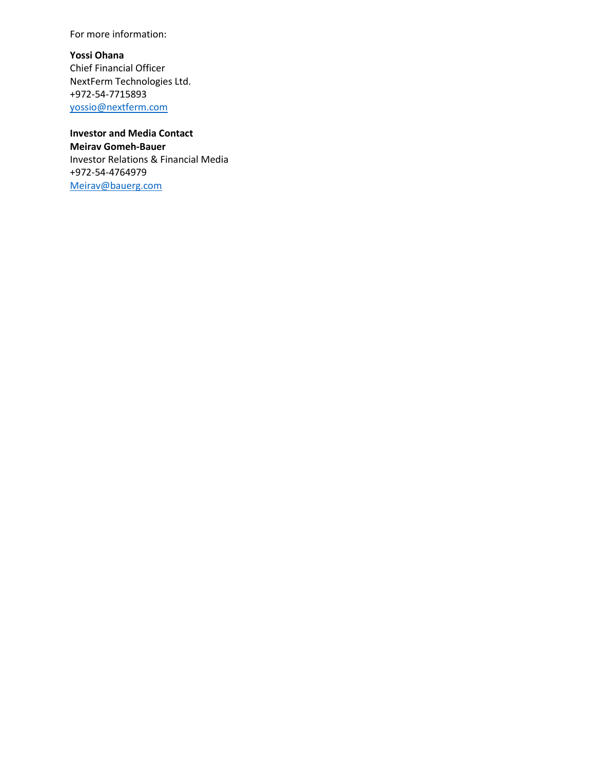For more information:

**Yossi Ohana** Chief Financial Officer NextFerm Technologies Ltd. +972-54-7715893 [yossio@nextferm.com](mailto:yossio@nextferm.com)

**Investor and Media Contact Meirav Gomeh-Bauer** Investor Relations & Financial Media +972-54-4764979 [Meirav@bauerg.com](mailto:Meirav@bauerg.com)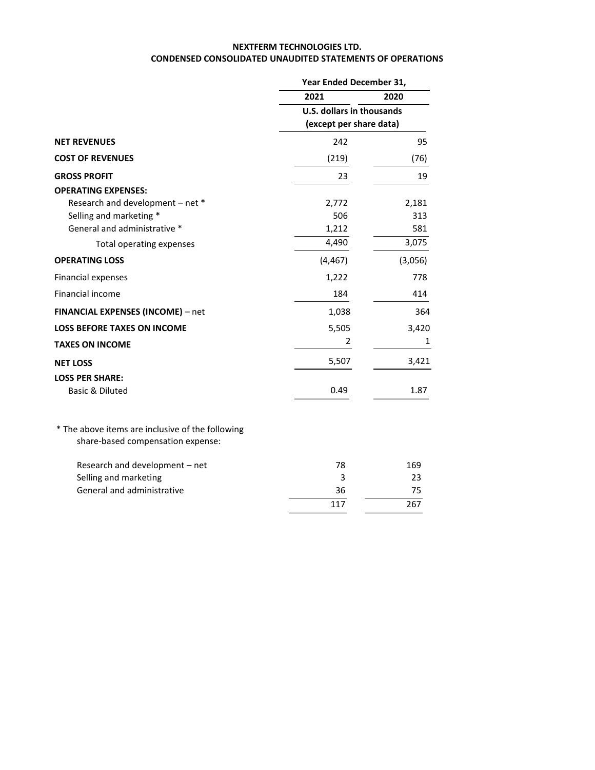#### **NEXTFERM TECHNOLOGIES LTD. CONDENSED CONSOLIDATED UNAUDITED STATEMENTS OF OPERATIONS**

|                                                                                       |                                                      | Year Ended December 31, |  |  |
|---------------------------------------------------------------------------------------|------------------------------------------------------|-------------------------|--|--|
|                                                                                       | 2021                                                 | 2020                    |  |  |
|                                                                                       | U.S. dollars in thousands<br>(except per share data) |                         |  |  |
| <b>NET REVENUES</b>                                                                   | 242                                                  | 95                      |  |  |
| <b>COST OF REVENUES</b>                                                               | (219)                                                | (76)                    |  |  |
| <b>GROSS PROFIT</b>                                                                   | 23                                                   | 19                      |  |  |
| <b>OPERATING EXPENSES:</b>                                                            |                                                      |                         |  |  |
| Research and development - net *                                                      | 2,772                                                | 2,181                   |  |  |
| Selling and marketing *                                                               | 506                                                  | 313                     |  |  |
| General and administrative *                                                          | 1,212                                                | 581                     |  |  |
| Total operating expenses                                                              | 4,490                                                | 3,075                   |  |  |
| <b>OPERATING LOSS</b>                                                                 | (4, 467)                                             | (3,056)                 |  |  |
| Financial expenses                                                                    | 1,222                                                | 778                     |  |  |
| Financial income                                                                      | 184                                                  | 414                     |  |  |
| FINANCIAL EXPENSES (INCOME) - net                                                     | 1,038                                                | 364                     |  |  |
| <b>LOSS BEFORE TAXES ON INCOME</b>                                                    | 5,505                                                | 3,420                   |  |  |
| <b>TAXES ON INCOME</b>                                                                | 2                                                    | 1                       |  |  |
| <b>NET LOSS</b>                                                                       | 5,507                                                | 3,421                   |  |  |
| <b>LOSS PER SHARE:</b>                                                                |                                                      |                         |  |  |
| <b>Basic &amp; Diluted</b>                                                            | 0.49                                                 | 1.87                    |  |  |
| * The above items are inclusive of the following<br>share-based compensation expense: |                                                      |                         |  |  |
| Research and development - net                                                        | 78                                                   | 169                     |  |  |
| Selling and marketing                                                                 | 3                                                    | 23                      |  |  |
| General and administrative                                                            | 36                                                   | 75                      |  |  |
|                                                                                       | 117                                                  | 267                     |  |  |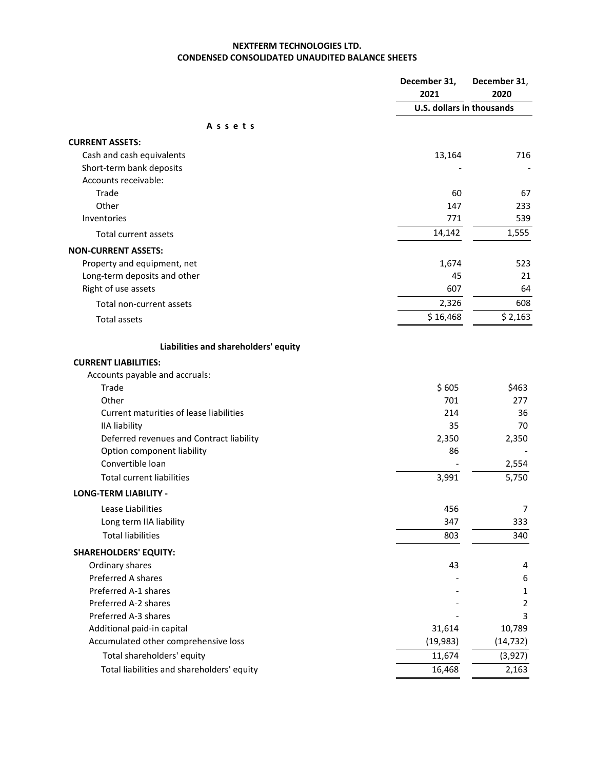## **NEXTFERM TECHNOLOGIES LTD. CONDENSED CONSOLIDATED UNAUDITED BALANCE SHEETS**

|                                            | December 31,<br>2021             | December 31,<br>2020 |
|--------------------------------------------|----------------------------------|----------------------|
|                                            | <b>U.S. dollars in thousands</b> |                      |
| Assets                                     |                                  |                      |
| <b>CURRENT ASSETS:</b>                     |                                  |                      |
| Cash and cash equivalents                  | 13,164                           | 716                  |
| Short-term bank deposits                   |                                  |                      |
| Accounts receivable:                       |                                  |                      |
| Trade                                      | 60                               | 67                   |
| Other                                      | 147                              | 233                  |
| Inventories                                | 771                              | 539                  |
| Total current assets                       | 14,142                           | 1,555                |
| <b>NON-CURRENT ASSETS:</b>                 |                                  |                      |
| Property and equipment, net                | 1,674                            | 523                  |
| Long-term deposits and other               | 45                               | 21                   |
| Right of use assets                        | 607                              | 64                   |
| Total non-current assets                   | 2,326                            | 608                  |
| <b>Total assets</b>                        | \$16,468                         | \$2,163              |
| Liabilities and shareholders' equity       |                                  |                      |
| <b>CURRENT LIABILITIES:</b>                |                                  |                      |
| Accounts payable and accruals:             |                                  |                      |
| Trade                                      | \$605                            | \$463                |
| Other                                      | 701                              | 277                  |
| Current maturities of lease liabilities    | 214                              | 36                   |
| <b>IIA liability</b>                       | 35                               | 70                   |
| Deferred revenues and Contract liability   | 2,350                            | 2,350                |
| Option component liability                 | 86                               |                      |
| Convertible loan                           |                                  | 2,554                |
| <b>Total current liabilities</b>           | 3,991                            | 5,750                |
| <b>LONG-TERM LIABILITY -</b>               |                                  |                      |
| Lease Liabilities                          | 456                              | 7                    |
| Long term IIA liability                    | 347                              | 333                  |
| <b>Total liabilities</b>                   | 803                              | 340                  |
| <b>SHAREHOLDERS' EQUITY:</b>               |                                  |                      |
| Ordinary shares                            | 43                               | 4                    |
| Preferred A shares                         |                                  | 6                    |
| Preferred A-1 shares                       |                                  | 1                    |
| Preferred A-2 shares                       |                                  | $\overline{2}$       |
| Preferred A-3 shares                       |                                  | 3                    |
| Additional paid-in capital                 | 31,614                           | 10,789               |
| Accumulated other comprehensive loss       | (19, 983)                        | (14, 732)            |
| Total shareholders' equity                 | 11,674                           | (3,927)              |
| Total liabilities and shareholders' equity | 16,468                           | 2,163                |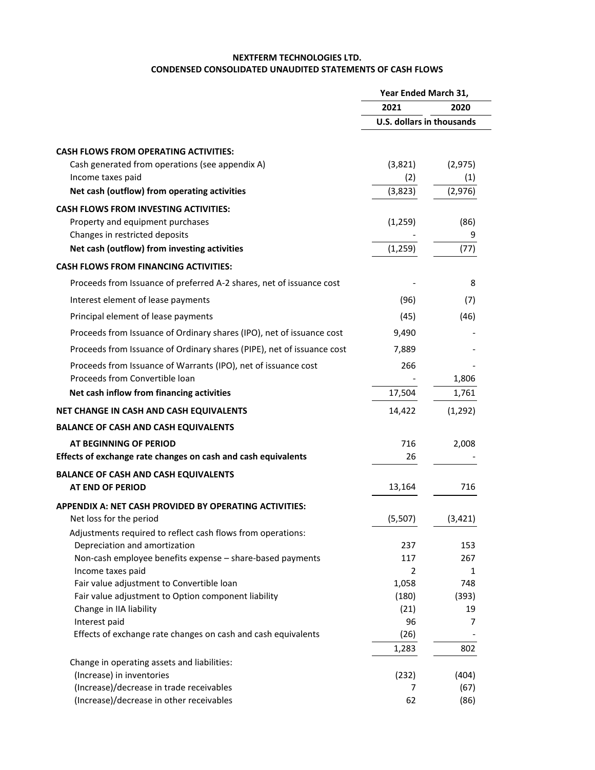## **NEXTFERM TECHNOLOGIES LTD. CONDENSED CONSOLIDATED UNAUDITED STATEMENTS OF CASH FLOWS**

|                                                                        | Year Ended March 31,             |          |
|------------------------------------------------------------------------|----------------------------------|----------|
|                                                                        | 2021                             | 2020     |
|                                                                        | <b>U.S. dollars in thousands</b> |          |
| <b>CASH FLOWS FROM OPERATING ACTIVITIES:</b>                           |                                  |          |
| Cash generated from operations (see appendix A)                        | (3,821)                          | (2, 975) |
| Income taxes paid                                                      | (2)                              | (1)      |
| Net cash (outflow) from operating activities                           | (3,823)                          | (2, 976) |
| <b>CASH FLOWS FROM INVESTING ACTIVITIES:</b>                           |                                  |          |
| Property and equipment purchases                                       | (1, 259)                         | (86)     |
| Changes in restricted deposits                                         |                                  | 9        |
| Net cash (outflow) from investing activities                           | (1, 259)                         | (77)     |
| <b>CASH FLOWS FROM FINANCING ACTIVITIES:</b>                           |                                  |          |
| Proceeds from Issuance of preferred A-2 shares, net of issuance cost   |                                  | 8        |
| Interest element of lease payments                                     | (96)                             | (7)      |
| Principal element of lease payments                                    | (45)                             | (46)     |
| Proceeds from Issuance of Ordinary shares (IPO), net of issuance cost  | 9,490                            |          |
| Proceeds from Issuance of Ordinary shares (PIPE), net of issuance cost | 7,889                            |          |
| Proceeds from Issuance of Warrants (IPO), net of issuance cost         | 266                              |          |
| Proceeds from Convertible loan                                         |                                  | 1,806    |
| Net cash inflow from financing activities                              | 17,504                           | 1,761    |
| NET CHANGE IN CASH AND CASH EQUIVALENTS                                | 14,422                           | (1, 292) |
| <b>BALANCE OF CASH AND CASH EQUIVALENTS</b>                            |                                  |          |
| AT BEGINNING OF PERIOD                                                 | 716                              | 2,008    |
| Effects of exchange rate changes on cash and cash equivalents          | 26                               |          |
| <b>BALANCE OF CASH AND CASH EQUIVALENTS</b>                            |                                  |          |
| <b>AT END OF PERIOD</b>                                                | 13,164                           | 716      |
| APPENDIX A: NET CASH PROVIDED BY OPERATING ACTIVITIES:                 |                                  |          |
| Net loss for the period                                                | (5,507)                          | (3, 421) |
| Adjustments required to reflect cash flows from operations:            |                                  |          |
| Depreciation and amortization                                          | 237                              | 153      |
| Non-cash employee benefits expense - share-based payments              | 117                              | 267      |
| Income taxes paid                                                      | 2                                | 1        |
| Fair value adjustment to Convertible loan                              | 1,058                            | 748      |
| Fair value adjustment to Option component liability                    | (180)                            | (393)    |
| Change in IIA liability<br>Interest paid                               | (21)<br>96                       | 19<br>7  |
| Effects of exchange rate changes on cash and cash equivalents          | (26)                             |          |
|                                                                        | 1,283                            | 802      |
| Change in operating assets and liabilities:                            |                                  |          |
| (Increase) in inventories                                              | (232)                            | (404)    |
| (Increase)/decrease in trade receivables                               | 7                                | (67)     |
| (Increase)/decrease in other receivables                               | 62                               | (86)     |